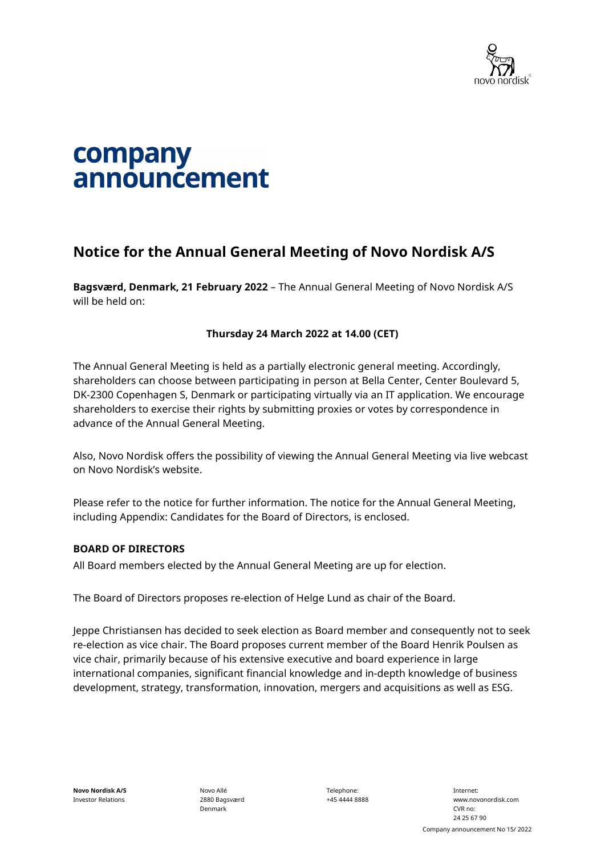

### company announcement

#### **Notice for the Annual General Meeting of Novo Nordisk A/S**

**Bagsværd, Denmark, 21 February 2022** – The Annual General Meeting of Novo Nordisk A/S will be held on:

#### **Thursday 24 March 2022 at 14.00 (CET)**

The Annual General Meeting is held as a partially electronic general meeting. Accordingly, shareholders can choose between participating in person at Bella Center, Center Boulevard 5, DK-2300 Copenhagen S, Denmark or participating virtually via an IT application. We encourage shareholders to exercise their rights by submitting proxies or votes by correspondence in advance of the Annual General Meeting.

Also, Novo Nordisk offers the possibility of viewing the Annual General Meeting via live webcast on Novo Nordisk's website.

Please refer to the notice for further information. The notice for the Annual General Meeting, including Appendix: Candidates for the Board of Directors, is enclosed.

#### **BOARD OF DIRECTORS**

All Board members elected by the Annual General Meeting are up for election.

The Board of Directors proposes re-election of Helge Lund as chair of the Board.

Jeppe Christiansen has decided to seek election as Board member and consequently not to seek re-election as vice chair. The Board proposes current member of the Board Henrik Poulsen as vice chair, primarily because of his extensive executive and board experience in large international companies, significant financial knowledge and in-depth knowledge of business development, strategy, transformation, innovation, mergers and acquisitions as well as ESG.

Novo Allé 2880 Bagsværd Denmark

Telephone: +45 4444 8888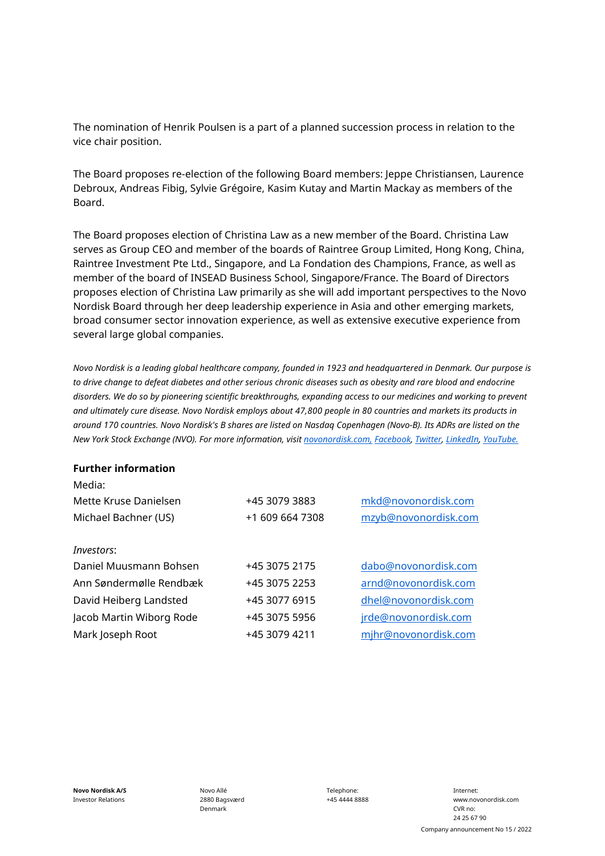The nomination of Henrik Poulsen is a part of a planned succession process in relation to the vice chair position.

The Board proposes re-election of the following Board members: Jeppe Christiansen, Laurence Debroux, Andreas Fibig, Sylvie Grégoire, Kasim Kutay and Martin Mackay as members of the Board.

The Board proposes election of Christina Law as a new member of the Board. Christina Law serves as Group CEO and member of the boards of Raintree Group Limited, Hong Kong, China, Raintree Investment Pte Ltd., Singapore, and La Fondation des Champions, France, as well as member of the board of INSEAD Business School, Singapore/France. The Board of Directors proposes election of Christina Law primarily as she will add important perspectives to the Novo Nordisk Board through her deep leadership experience in Asia and other emerging markets, broad consumer sector innovation experience, as well as extensive executive experience from several large global companies.

*Novo Nordisk is a leading global healthcare company, founded in 1923 and headquartered in Denmark. Our purpose is*  to drive change to defeat diabetes and other serious chronic diseases such as obesity and rare blood and endocrine *disorders. We do so by pioneering scientific breakthroughs, expanding access to our medicines and working to prevent and ultimately cure disease. Novo Nordisk employs about 47,800 people in 80 countries and markets its products in around 170 countries. Novo Nordisk's B shares are listed on Nasdaq Copenhagen (Novo-B). Its ADRs are listed on the New York Stock Exchange (NVO). For more information, visit [novonordisk.com,](http://www.novonordisk.com/) [Facebook,](http://www.facebook.com/novonordisk) [Twitter,](http://www.twitter.com/novonordisk) [LinkedIn,](http://www.linkedin.com/company/novo-nordisk) [YouTube.](http://www.youtube.com/novonordisk)*

#### **Further information**

| Media:                   |                 |                      |
|--------------------------|-----------------|----------------------|
| Mette Kruse Danielsen    | +45 3079 3883   | mkd@novonordisk.com  |
| Michael Bachner (US)     | +1 609 664 7308 | mzyb@novonordisk.com |
|                          |                 |                      |
| <i>Investors:</i>        |                 |                      |
| Daniel Muusmann Bohsen   | +45 3075 2175   | dabo@novonordisk.com |
| Ann Søndermølle Rendbæk  | +45 3075 2253   | arnd@novonordisk.com |
| David Heiberg Landsted   | +45 3077 6915   | dhel@novonordisk.com |
| Jacob Martin Wiborg Rode | +45 3075 5956   | jrde@novonordisk.com |
| Mark Joseph Root         | +45 3079 4211   | mjhr@novonordisk.com |
|                          |                 |                      |

Novo Allé 2880 Bagsværd Denmark

Telephone: +45 4444 8888

Internet: www.novonordisk.com CVR no: 24 25 67 90 Company announcement No 15 / 2022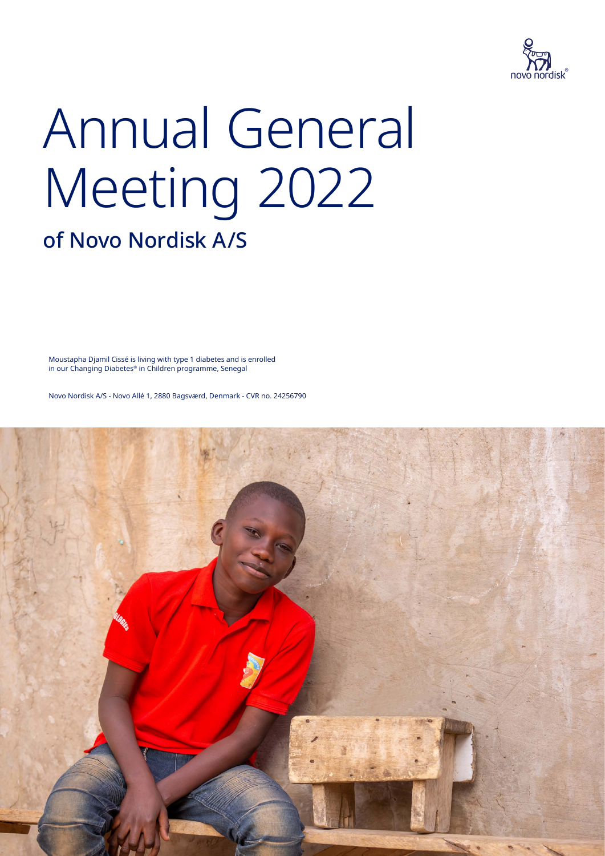

# Annual General Meeting 2022

### of Novo Nordisk A/S

Moustapha Djamil Cissé is living with type 1 diabetes and is enrolled in our Changing Diabetes® in Children programme, Senegal

Novo Nordisk A/S - Novo Allé 1, 2880 Bagsværd, Denmark - CVR no. 24256790

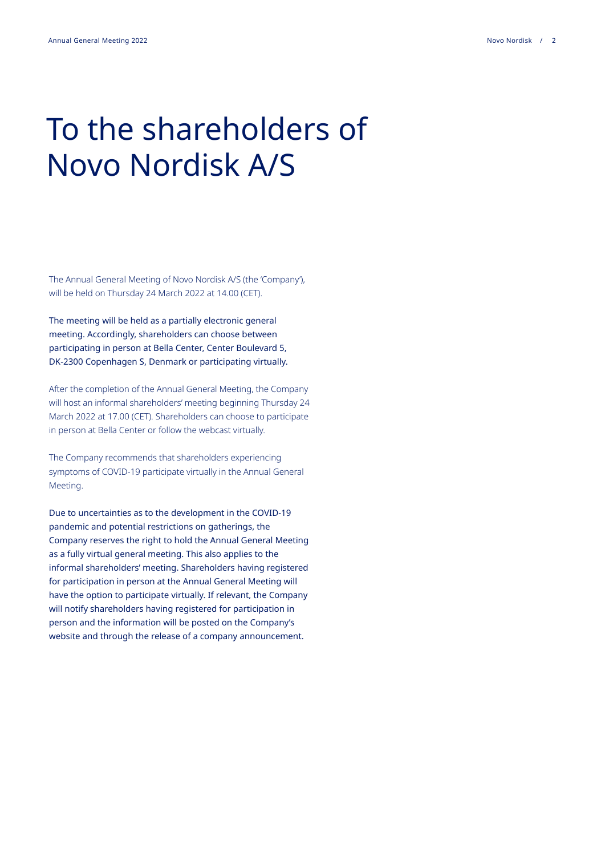### To the shareholders of Novo Nordisk A/S

The Annual General Meeting of Novo Nordisk A/S (the 'Company'), will be held on Thursday 24 March 2022 at 14.00 (CET).

The meeting will be held as a partially electronic general meeting. Accordingly, shareholders can choose between participating in person at Bella Center, Center Boulevard 5, DK-2300 Copenhagen S, Denmark or participating virtually.

After the completion of the Annual General Meeting, the Company will host an informal shareholders' meeting beginning Thursday 24 March 2022 at 17.00 (CET). Shareholders can choose to participate in person at Bella Center or follow the webcast virtually.

The Company recommends that shareholders experiencing symptoms of COVID-19 participate virtually in the Annual General Meeting.

Due to uncertainties as to the development in the COVID-19 pandemic and potential restrictions on gatherings, the Company reserves the right to hold the Annual General Meeting as a fully virtual general meeting. This also applies to the informal shareholders' meeting. Shareholders having registered for participation in person at the Annual General Meeting will have the option to participate virtually. If relevant, the Company will notify shareholders having registered for participation in person and the information will be posted on the Company's website and through the release of a company announcement.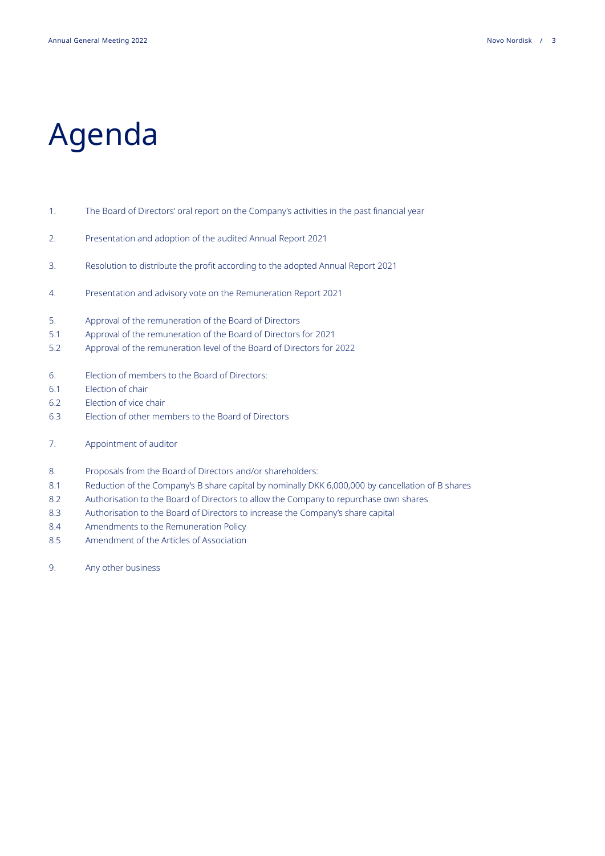# Agenda

#### 1. The Board of Directors' oral report on the Company's activities in the past financial year

- 2. Presentation and adoption of the audited Annual Report 2021
- 3. Resolution to distribute the profit according to the adopted Annual Report 2021
- 4. Presentation and advisory vote on the Remuneration Report 2021
- 5. Approval of the remuneration of the Board of Directors
- 5.1 Approval of the remuneration of the Board of Directors for 2021
- 5.2 Approval of the remuneration level of the Board of Directors for 2022
- 6. Election of members to the Board of Directors:
- 6.1 Election of chair
- 6.2 Election of vice chair
- 6.3 Election of other members to the Board of Directors
- 7. Appointment of auditor

#### 8. Proposals from the Board of Directors and/or shareholders:

- 8.1 Reduction of the Company's B share capital by nominally DKK 6,000,000 by cancellation of B shares
- 8.2 Authorisation to the Board of Directors to allow the Company to repurchase own shares
- 8.3 Authorisation to the Board of Directors to increase the Company's share capital
- 8.4 Amendments to the Remuneration Policy
- 8.5 Amendment of the Articles of Association
- 9. Any other business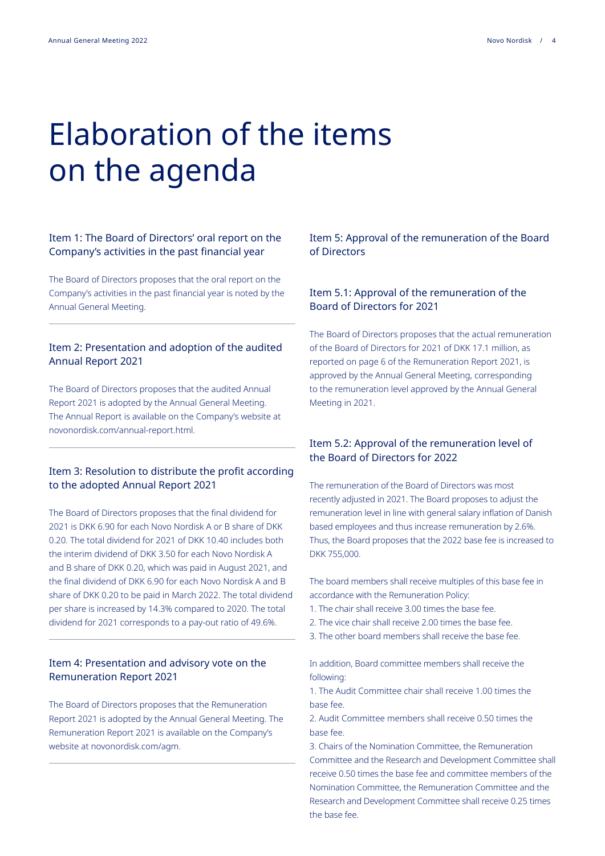## Elaboration of the items on the agenda

#### Item 1: The Board of Directors' oral report on the Company's activities in the past financial year

The Board of Directors proposes that the oral report on the Company's activities in the past financial year is noted by the Annual General Meeting.

#### Item 2: Presentation and adoption of the audited Annual Report 2021

The Board of Directors proposes that the audited Annual Report 2021 is adopted by the Annual General Meeting. The Annual Report is available on the Company's website at novonordisk.com/annual-report.html.

#### Item 3: Resolution to distribute the profit according to the adopted Annual Report 2021

The Board of Directors proposes that the final dividend for 2021 is DKK 6.90 for each Novo Nordisk A or B share of DKK 0.20. The total dividend for 2021 of DKK 10.40 includes both the interim dividend of DKK 3.50 for each Novo Nordisk A and B share of DKK 0.20, which was paid in August 2021, and the final dividend of DKK 6.90 for each Novo Nordisk A and B share of DKK 0.20 to be paid in March 2022. The total dividend per share is increased by 14.3% compared to 2020. The total dividend for 2021 corresponds to a pay-out ratio of 49.6%.

#### Item 4: Presentation and advisory vote on the Remuneration Report 2021

The Board of Directors proposes that the Remuneration Report 2021 is adopted by the Annual General Meeting. The Remuneration Report 2021 is available on the Company's website at novonordisk.com/agm.

#### Item 5: Approval of the remuneration of the Board of Directors

#### Item 5.1: Approval of the remuneration of the Board of Directors for 2021

The Board of Directors proposes that the actual remuneration of the Board of Directors for 2021 of DKK 17.1 million, as reported on page 6 of the Remuneration Report 2021, is approved by the Annual General Meeting, corresponding to the remuneration level approved by the Annual General Meeting in 2021.

#### Item 5.2: Approval of the remuneration level of the Board of Directors for 2022

The remuneration of the Board of Directors was most recently adjusted in 2021. The Board proposes to adjust the remuneration level in line with general salary inflation of Danish based employees and thus increase remuneration by 2.6%. Thus, the Board proposes that the 2022 base fee is increased to DKK 755,000.

The board members shall receive multiples of this base fee in accordance with the Remuneration Policy:

- 1. The chair shall receive 3.00 times the base fee.
- 2. The vice chair shall receive 2.00 times the base fee.
- 3. The other board members shall receive the base fee.

In addition, Board committee members shall receive the following:

1. The Audit Committee chair shall receive 1.00 times the base fee.

2. Audit Committee members shall receive 0.50 times the base fee.

3. Chairs of the Nomination Committee, the Remuneration Committee and the Research and Development Committee shall receive 0.50 times the base fee and committee members of the Nomination Committee, the Remuneration Committee and the Research and Development Committee shall receive 0.25 times the base fee.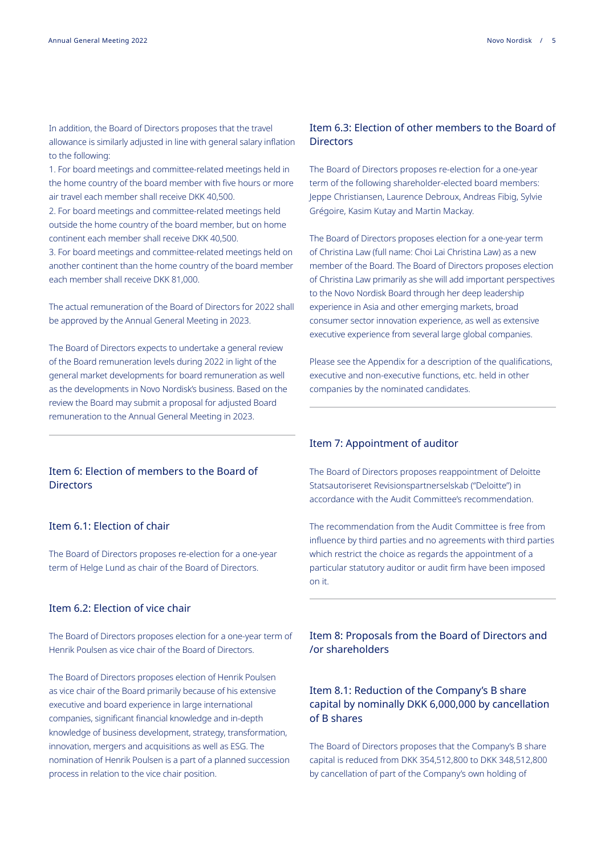In addition, the Board of Directors proposes that the travel allowance is similarly adjusted in line with general salary inflation to the following:

1. For board meetings and committee-related meetings held in the home country of the board member with five hours or more air travel each member shall receive DKK 40,500.

2. For board meetings and committee-related meetings held outside the home country of the board member, but on home continent each member shall receive DKK 40,500.

3. For board meetings and committee-related meetings held on another continent than the home country of the board member each member shall receive DKK 81,000.

The actual remuneration of the Board of Directors for 2022 shall be approved by the Annual General Meeting in 2023.

The Board of Directors expects to undertake a general review of the Board remuneration levels during 2022 in light of the general market developments for board remuneration as well as the developments in Novo Nordisk's business. Based on the review the Board may submit a proposal for adjusted Board remuneration to the Annual General Meeting in 2023.

#### Item 6: Election of members to the Board of **Directors**

#### Item 6.1: Election of chair

The Board of Directors proposes re-election for a one-year term of Helge Lund as chair of the Board of Directors.

#### Item 6.2: Election of vice chair

The Board of Directors proposes election for a one-year term of Henrik Poulsen as vice chair of the Board of Directors.

The Board of Directors proposes election of Henrik Poulsen as vice chair of the Board primarily because of his extensive executive and board experience in large international companies, significant financial knowledge and in-depth knowledge of business development, strategy, transformation, innovation, mergers and acquisitions as well as ESG. The nomination of Henrik Poulsen is a part of a planned succession process in relation to the vice chair position.

#### Item 6.3: Election of other members to the Board of **Directors**

The Board of Directors proposes re-election for a one-year term of the following shareholder-elected board members: Jeppe Christiansen, Laurence Debroux, Andreas Fibig, Sylvie Grégoire, Kasim Kutay and Martin Mackay.

The Board of Directors proposes election for a one-year term of Christina Law (full name: Choi Lai Christina Law) as a new member of the Board. The Board of Directors proposes election of Christina Law primarily as she will add important perspectives to the Novo Nordisk Board through her deep leadership experience in Asia and other emerging markets, broad consumer sector innovation experience, as well as extensive executive experience from several large global companies.

Please see the Appendix for a description of the qualifications, executive and non-executive functions, etc. held in other companies by the nominated candidates.

#### Item 7: Appointment of auditor

The Board of Directors proposes reappointment of Deloitte Statsautoriseret Revisionspartnerselskab ("Deloitte") in accordance with the Audit Committee's recommendation.

The recommendation from the Audit Committee is free from influence by third parties and no agreements with third parties which restrict the choice as regards the appointment of a particular statutory auditor or audit firm have been imposed on it.

Item 8: Proposals from the Board of Directors and /or shareholders

#### Item 8.1: Reduction of the Company's B share capital by nominally DKK 6,000,000 by cancellation of B shares

The Board of Directors proposes that the Company's B share capital is reduced from DKK 354,512,800 to DKK 348,512,800 by cancellation of part of the Company's own holding of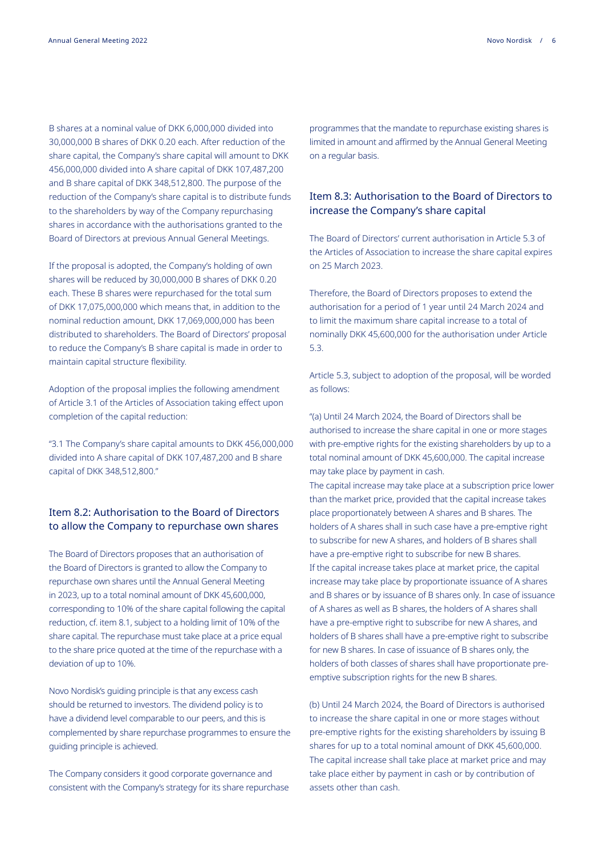B shares at a nominal value of DKK 6,000,000 divided into 30,000,000 B shares of DKK 0.20 each. After reduction of the share capital, the Company's share capital will amount to DKK 456,000,000 divided into A share capital of DKK 107,487,200 and B share capital of DKK 348,512,800. The purpose of the reduction of the Company's share capital is to distribute funds to the shareholders by way of the Company repurchasing shares in accordance with the authorisations granted to the Board of Directors at previous Annual General Meetings.

If the proposal is adopted, the Company's holding of own shares will be reduced by 30,000,000 B shares of DKK 0.20 each. These B shares were repurchased for the total sum of DKK 17,075,000,000 which means that, in addition to the nominal reduction amount, DKK 17,069,000,000 has been distributed to shareholders. The Board of Directors' proposal to reduce the Company's B share capital is made in order to maintain capital structure flexibility.

Adoption of the proposal implies the following amendment of Article 3.1 of the Articles of Association taking effect upon completion of the capital reduction:

"3.1 The Company's share capital amounts to DKK 456,000,000 divided into A share capital of DKK 107,487,200 and B share capital of DKK 348,512,800."

#### Item 8.2: Authorisation to the Board of Directors to allow the Company to repurchase own shares

The Board of Directors proposes that an authorisation of the Board of Directors is granted to allow the Company to repurchase own shares until the Annual General Meeting in 2023, up to a total nominal amount of DKK 45,600,000, corresponding to 10% of the share capital following the capital reduction, cf. item 8.1, subject to a holding limit of 10% of the share capital. The repurchase must take place at a price equal to the share price quoted at the time of the repurchase with a deviation of up to 10%.

Novo Nordisk's guiding principle is that any excess cash should be returned to investors. The dividend policy is to have a dividend level comparable to our peers, and this is complemented by share repurchase programmes to ensure the guiding principle is achieved.

The Company considers it good corporate governance and consistent with the Company's strategy for its share repurchase

programmes that the mandate to repurchase existing shares is limited in amount and affirmed by the Annual General Meeting on a regular basis.

#### Item 8.3: Authorisation to the Board of Directors to increase the Company's share capital

The Board of Directors' current authorisation in Article 5.3 of the Articles of Association to increase the share capital expires on 25 March 2023.

Therefore, the Board of Directors proposes to extend the authorisation for a period of 1 year until 24 March 2024 and to limit the maximum share capital increase to a total of nominally DKK 45,600,000 for the authorisation under Article 5.3.

Article 5.3, subject to adoption of the proposal, will be worded as follows:

"(a) Until 24 March 2024, the Board of Directors shall be authorised to increase the share capital in one or more stages with pre-emptive rights for the existing shareholders by up to a total nominal amount of DKK 45,600,000. The capital increase may take place by payment in cash.

The capital increase may take place at a subscription price lower than the market price, provided that the capital increase takes place proportionately between A shares and B shares. The holders of A shares shall in such case have a pre-emptive right to subscribe for new A shares, and holders of B shares shall have a pre-emptive right to subscribe for new B shares. If the capital increase takes place at market price, the capital increase may take place by proportionate issuance of A shares and B shares or by issuance of B shares only. In case of issuance of A shares as well as B shares, the holders of A shares shall have a pre-emptive right to subscribe for new A shares, and holders of B shares shall have a pre-emptive right to subscribe for new B shares. In case of issuance of B shares only, the holders of both classes of shares shall have proportionate preemptive subscription rights for the new B shares.

(b) Until 24 March 2024, the Board of Directors is authorised to increase the share capital in one or more stages without pre-emptive rights for the existing shareholders by issuing B shares for up to a total nominal amount of DKK 45,600,000. The capital increase shall take place at market price and may take place either by payment in cash or by contribution of assets other than cash.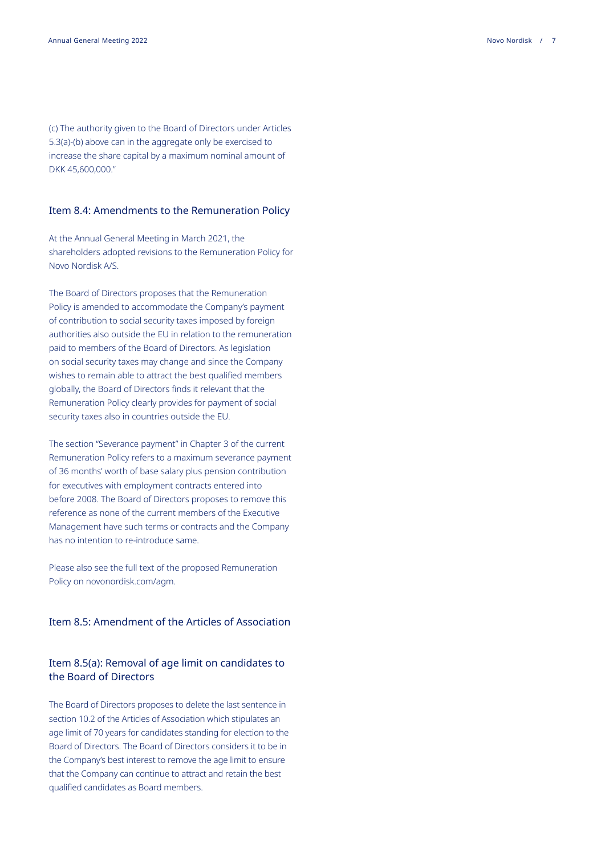(c) The authority given to the Board of Directors under Articles 5.3(a)-(b) above can in the aggregate only be exercised to increase the share capital by a maximum nominal amount of DKK 45,600,000."

#### Item 8.4: Amendments to the Remuneration Policy

At the Annual General Meeting in March 2021, the shareholders adopted revisions to the Remuneration Policy for Novo Nordisk A/S.

The Board of Directors proposes that the Remuneration Policy is amended to accommodate the Company's payment of contribution to social security taxes imposed by foreign authorities also outside the EU in relation to the remuneration paid to members of the Board of Directors. As legislation on social security taxes may change and since the Company wishes to remain able to attract the best qualified members globally, the Board of Directors finds it relevant that the Remuneration Policy clearly provides for payment of social security taxes also in countries outside the EU.

The section "Severance payment" in Chapter 3 of the current Remuneration Policy refers to a maximum severance payment of 36 months' worth of base salary plus pension contribution for executives with employment contracts entered into before 2008. The Board of Directors proposes to remove this reference as none of the current members of the Executive Management have such terms or contracts and the Company has no intention to re-introduce same.

Please also see the full text of the proposed Remuneration Policy on novonordisk.com/agm.

#### Item 8.5: Amendment of the Articles of Association

#### Item 8.5(a): Removal of age limit on candidates to the Board of Directors

The Board of Directors proposes to delete the last sentence in section 10.2 of the Articles of Association which stipulates an age limit of 70 years for candidates standing for election to the Board of Directors. The Board of Directors considers it to be in the Company's best interest to remove the age limit to ensure that the Company can continue to attract and retain the best qualified candidates as Board members.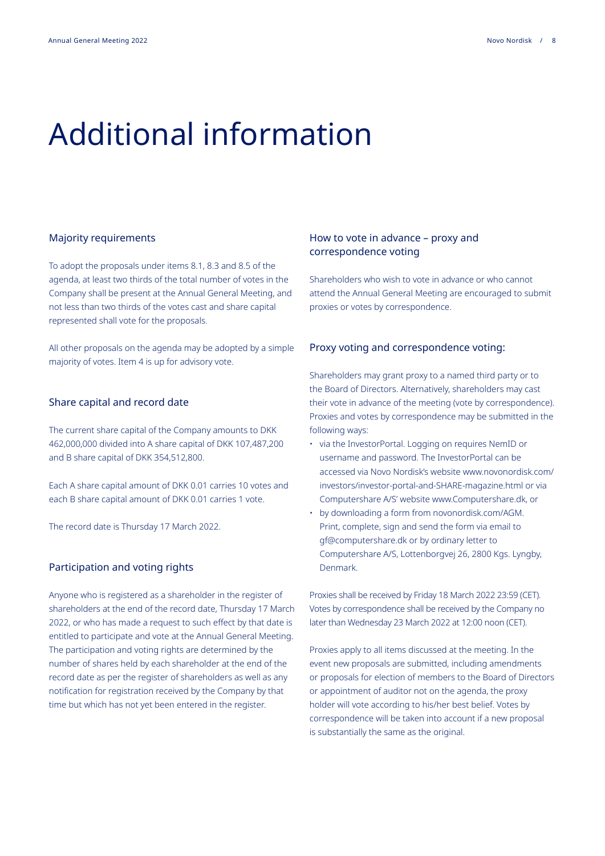### Additional information

#### Majority requirements

To adopt the proposals under items 8.1, 8.3 and 8.5 of the agenda, at least two thirds of the total number of votes in the Company shall be present at the Annual General Meeting, and not less than two thirds of the votes cast and share capital represented shall vote for the proposals.

All other proposals on the agenda may be adopted by a simple majority of votes. Item 4 is up for advisory vote.

#### Share capital and record date

The current share capital of the Company amounts to DKK 462,000,000 divided into A share capital of DKK 107,487,200 and B share capital of DKK 354,512,800.

Each A share capital amount of DKK 0.01 carries 10 votes and each B share capital amount of DKK 0.01 carries 1 vote.

The record date is Thursday 17 March 2022.

#### Participation and voting rights

Anyone who is registered as a shareholder in the register of shareholders at the end of the record date, Thursday 17 March 2022, or who has made a request to such effect by that date is entitled to participate and vote at the Annual General Meeting. The participation and voting rights are determined by the number of shares held by each shareholder at the end of the record date as per the register of shareholders as well as any notification for registration received by the Company by that time but which has not yet been entered in the register.

#### How to vote in advance – proxy and correspondence voting

Shareholders who wish to vote in advance or who cannot attend the Annual General Meeting are encouraged to submit proxies or votes by correspondence.

#### Proxy voting and correspondence voting:

Shareholders may grant proxy to a named third party or to the Board of Directors. Alternatively, shareholders may cast their vote in advance of the meeting (vote by correspondence). Proxies and votes by correspondence may be submitted in the following ways:

- via the InvestorPortal. Logging on requires NemID or username and password. The InvestorPortal can be accessed via Novo Nordisk's website [www.novonordisk.com/](http://www.novonordisk.com/investors/investor-portal-and-SHARE-magazine.html) [investors/investor-portal-and-SHARE-magazine.html](http://www.novonordisk.com/investors/investor-portal-and-SHARE-magazine.html) or via Computershare A/S' website [www.Computershare.dk](http://www.Computershare.dk), or
- by downloading a form from [novonordisk.com/AGM.](http://novonordisk.com/AGM) Print, complete, sign and send the form via email to [gf@computershare.dk](http://gf@computershare.dk) or by ordinary letter to Computershare A/S, Lottenborgvej 26, 2800 Kgs. Lyngby, Denmark.

Proxies shall be received by Friday 18 March 2022 23:59 (CET). Votes by correspondence shall be received by the Company no later than Wednesday 23 March 2022 at 12:00 noon (CET).

Proxies apply to all items discussed at the meeting. In the event new proposals are submitted, including amendments or proposals for election of members to the Board of Directors or appointment of auditor not on the agenda, the proxy holder will vote according to his/her best belief. Votes by correspondence will be taken into account if a new proposal is substantially the same as the original.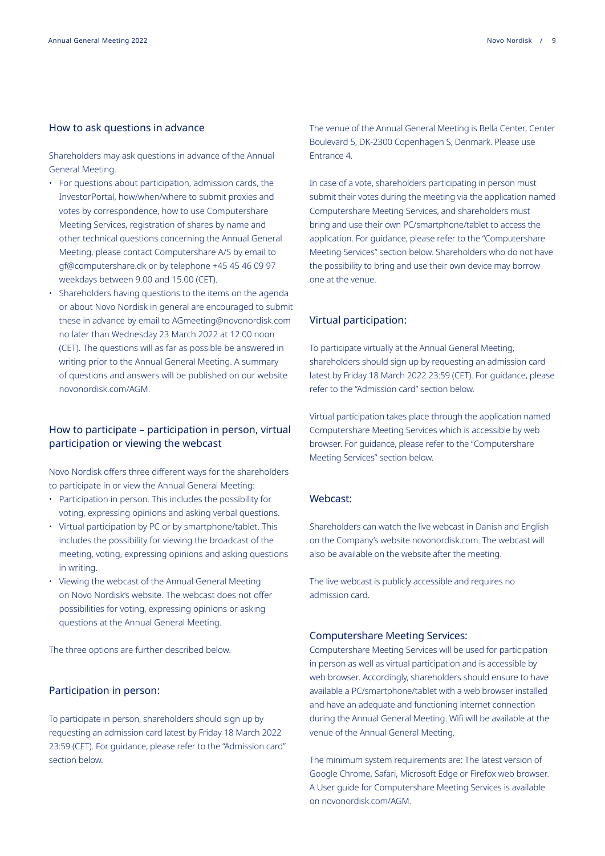#### How to ask questions in advance

Shareholders may ask questions in advance of the Annual General Meeting.

- For questions about participation, admission cards, the InvestorPortal, how/when/where to submit proxies and votes by correspondence, how to use Computershare Meeting Services, registration of shares by name and other technical questions concerning the Annual General Meeting, please contact Computershare A/S by email to [gf@computershare.dk](http://gf@computershare.dk) or by telephone +45 45 46 09 97 weekdays between 9.00 and 15.00 (CET).
- Shareholders having questions to the items on the agenda or about Novo Nordisk in general are encouraged to submit these in advance by email to [AGmeeting@novonordisk.com](http://AGmeeting@novonordisk.com) no later than Wednesday 23 March 2022 at 12:00 noon (CET). The questions will as far as possible be answered in writing prior to the Annual General Meeting. A summary of questions and answers will be published on our website [novonordisk.com/AGM.](http://novonordisk.com/AGM)

#### How to participate – participation in person, virtual participation or viewing the webcast

Novo Nordisk offers three different ways for the shareholders to participate in or view the Annual General Meeting:

- Participation in person. This includes the possibility for voting, expressing opinions and asking verbal questions.
- Virtual participation by PC or by smartphone/tablet. This includes the possibility for viewing the broadcast of the meeting, voting, expressing opinions and asking questions in writing.
- Viewing the webcast of the Annual General Meeting on Novo Nordisk's website. The webcast does not offer possibilities for voting, expressing opinions or asking questions at the Annual General Meeting.

The three options are further described below.

#### Participation in person:

To participate in person, shareholders should sign up by requesting an admission card latest by Friday 18 March 2022 23:59 (CET). For guidance, please refer to the "Admission card" section below.

The venue of the Annual General Meeting is Bella Center, Center Boulevard 5, DK-2300 Copenhagen S, Denmark. Please use Entrance 4.

In case of a vote, shareholders participating in person must submit their votes during the meeting via the application named Computershare Meeting Services, and shareholders must bring and use their own PC/smartphone/tablet to access the application. For guidance, please refer to the "Computershare Meeting Services" section below. Shareholders who do not have the possibility to bring and use their own device may borrow one at the venue.

#### Virtual participation:

To participate virtually at the Annual General Meeting, shareholders should sign up by requesting an admission card latest by Friday 18 March 2022 23:59 (CET). For guidance, please refer to the "Admission card" section below.

Virtual participation takes place through the application named Computershare Meeting Services which is accessible by web browser. For guidance, please refer to the "Computershare Meeting Services" section below.

#### Webcast:

Shareholders can watch the live webcast in Danish and English on the Company's website novonordisk.com. The webcast will also be available on the website after the meeting.

The live webcast is publicly accessible and requires no admission card.

#### Computershare Meeting Services:

Computershare Meeting Services will be used for participation in person as well as virtual participation and is accessible by web browser. Accordingly, shareholders should ensure to have available a PC/smartphone/tablet with a web browser installed and have an adequate and functioning internet connection during the Annual General Meeting. Wifi will be available at the venue of the Annual General Meeting.

The minimum system requirements are: The latest version of Google Chrome, Safari, Microsoft Edge or Firefox web browser. A User guide for Computershare Meeting Services is available on [novonordisk.com/AGM.](http://novonordisk.com/AGM)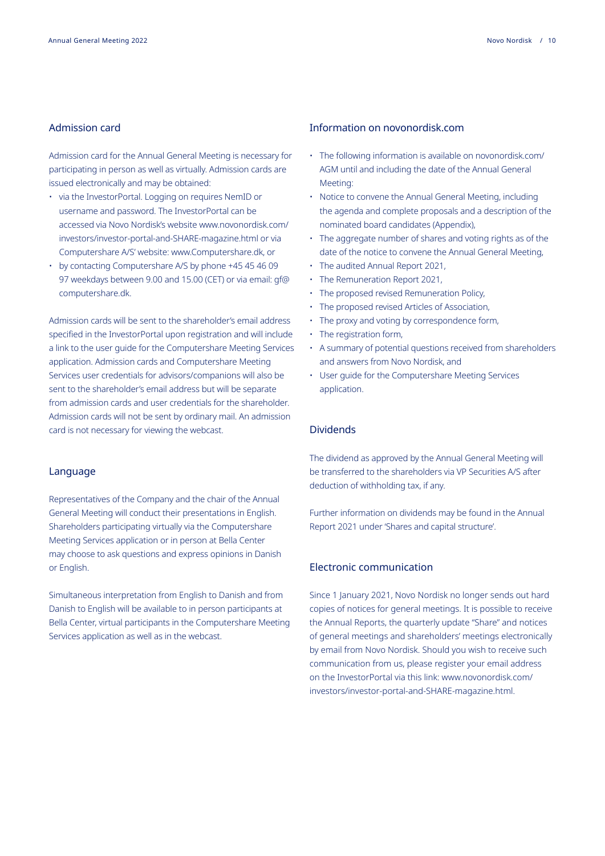#### Admission card

Admission card for the Annual General Meeting is necessary for participating in person as well as virtually. Admission cards are issued electronically and may be obtained:

- via the InvestorPortal. Logging on requires NemID or username and password. The InvestorPortal can be accessed via Novo Nordisk's website [www.novonordisk.com/](http://www.novonordisk.com/investors/investor-portal-and-SHARE-magazine.html ) [investors/investor-portal-and-SHARE-magazine.html](http://www.novonordisk.com/investors/investor-portal-and-SHARE-magazine.html ) or via Computershare A/S' website: [www.Computershare.dk,](http://www.Computershare.dk) or
- by contacting Computershare A/S by phone +45 45 46 09 97 weekdays between 9.00 and 15.00 (CET) or via email: [gf@](http://gf@computershare.dk.) [computershare.dk.](http://gf@computershare.dk.)

Admission cards will be sent to the shareholder's email address specified in the InvestorPortal upon registration and will include a link to the user guide for the Computershare Meeting Services application. Admission cards and Computershare Meeting Services user credentials for advisors/companions will also be sent to the shareholder's email address but will be separate from admission cards and user credentials for the shareholder. Admission cards will not be sent by ordinary mail. An admission card is not necessary for viewing the webcast.

#### Language

Representatives of the Company and the chair of the Annual General Meeting will conduct their presentations in English. Shareholders participating virtually via the Computershare Meeting Services application or in person at Bella Center may choose to ask questions and express opinions in Danish or English.

Simultaneous interpretation from English to Danish and from Danish to English will be available to in person participants at Bella Center, virtual participants in the Computershare Meeting Services application as well as in the webcast.

#### Information on novonordisk.com

- The following information is available on novonordisk.com/ AGM until and including the date of the Annual General Meeting:
- Notice to convene the Annual General Meeting, including the agenda and complete proposals and a description of the nominated board candidates (Appendix),
- The aggregate number of shares and voting rights as of the date of the notice to convene the Annual General Meeting,
- The audited Annual Report 2021,
- The Remuneration Report 2021,
- The proposed revised Remuneration Policy,
- The proposed revised Articles of Association,
- The proxy and voting by correspondence form,
- The registration form,
- A summary of potential questions received from shareholders and answers from Novo Nordisk, and
- User guide for the Computershare Meeting Services application.

#### Dividends

The dividend as approved by the Annual General Meeting will be transferred to the shareholders via VP Securities A/S after deduction of withholding tax, if any.

Further information on dividends may be found in the Annual Report 2021 under 'Shares and capital structure'.

#### Electronic communication

Since 1 January 2021, Novo Nordisk no longer sends out hard copies of notices for general meetings. It is possible to receive the Annual Reports, the quarterly update "Share" and notices of general meetings and shareholders' meetings electronically by email from Novo Nordisk. Should you wish to receive such communication from us, please register your email address on the InvestorPortal via this link: [www.novonordisk.com/](http://www.novonordisk.com/investors/investor-portal-and-SHARE-magazine.html) [investors/investor-portal-and-SHARE-magazine.html.](http://www.novonordisk.com/investors/investor-portal-and-SHARE-magazine.html)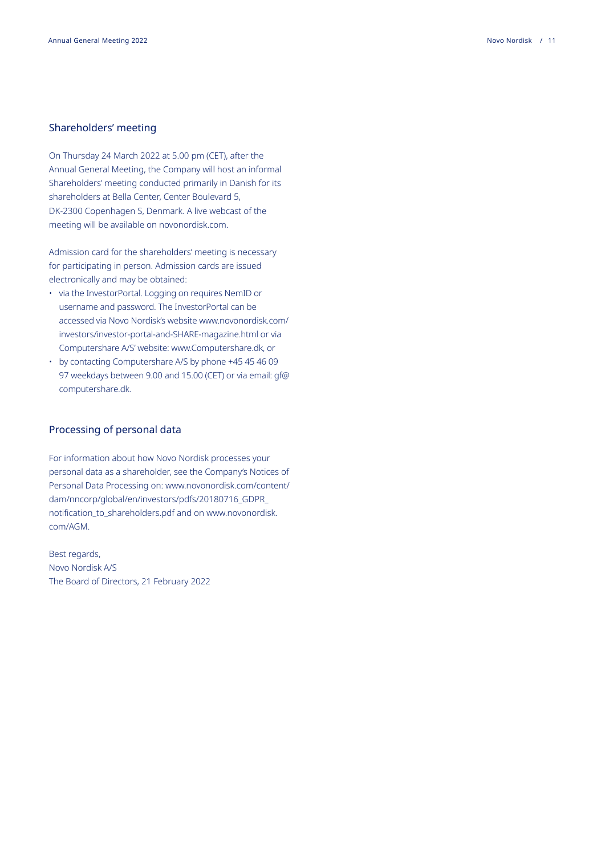#### Shareholders' meeting

On Thursday 24 March 2022 at 5.00 pm (CET), after the Annual General Meeting, the Company will host an informal Shareholders' meeting conducted primarily in Danish for its shareholders at Bella Center, Center Boulevard 5, DK-2300 Copenhagen S, Denmark. A live webcast of the meeting will be available on novonordisk.com.

Admission card for the shareholders' meeting is necessary for participating in person. Admission cards are issued electronically and may be obtained:

- via the InvestorPortal. Logging on requires NemID or username and password. The InvestorPortal can be accessed via Novo Nordisk's website [www.novonordisk.com/](http://www.novonordisk.com/investors/investor-portal-and-SHARE-magazine.html ) [investors/investor-portal-and-SHARE-magazine.html](http://www.novonordisk.com/investors/investor-portal-and-SHARE-magazine.html ) or via Computershare A/S' website: [www.Computershare.dk,](http://www.Computershare.dk) or
- by contacting Computershare A/S by phone +45 45 46 09 97 weekdays between 9.00 and 15.00 (CET) or via email: [gf@](http://gf@computershare.dk) [computershare.dk](http://gf@computershare.dk).

#### Processing of personal data

For information about how Novo Nordisk processes your personal data as a shareholder, see the Company's Notices of Personal Data Processing on: [www.novonordisk.com/content/](http://www.novonordisk.com/content/dam/nncorp/global/en/investors/pdfs/20180716_GDPR_notification_to_shareh) [dam/nncorp/global/en/investors/pdfs/20180716\\_GDPR\\_](http://www.novonordisk.com/content/dam/nncorp/global/en/investors/pdfs/20180716_GDPR_notification_to_shareh) [notification\\_to\\_shareholders.pdf](http://www.novonordisk.com/content/dam/nncorp/global/en/investors/pdfs/20180716_GDPR_notification_to_shareh) and on [www.novonordisk.](http://www.novonordisk.com/AGM) [com/AGM](http://www.novonordisk.com/AGM)[.](http://www.novonordisk.com/AGM. )

Best regards, Novo Nordisk A/S The Board of Directors, 21 February 2022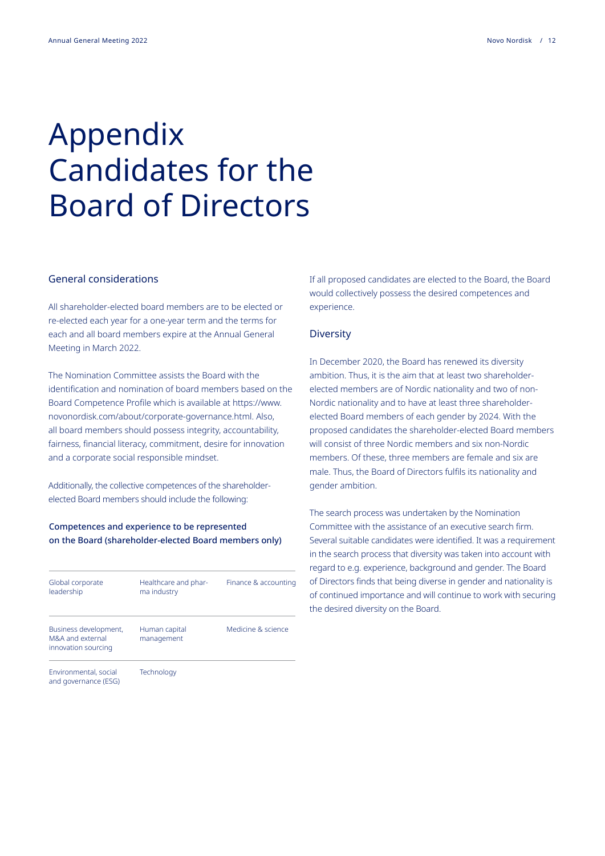### Appendix Candidates for the Board of Directors

#### General considerations

All shareholder-elected board members are to be elected or re-elected each year for a one-year term and the terms for each and all board members expire at the Annual General Meeting in March 2022.

The Nomination Committee assists the Board with the identification and nomination of board members based on the Board Competence Profile which is available at [https://www.](https://www.novonordisk.com/about/corporate-governance.html) [novonordisk.com/about/corporate-governance.html.](https://www.novonordisk.com/about/corporate-governance.html) Also, all board members should possess integrity, accountability, fairness, financial literacy, commitment, desire for innovation and a corporate social responsible mindset.

Additionally, the collective competences of the shareholderelected Board members should include the following:

#### Competences and experience to be represented on the Board (shareholder-elected Board members only)

| Global corporate<br>leadership                                   | Healthcare and phar-<br>ma industry | Finance & accounting |
|------------------------------------------------------------------|-------------------------------------|----------------------|
| Business development,<br>M&A and external<br>innovation sourcing | Human capital<br>management         | Medicine & science   |
| Environmental, social<br>and governance (ESG)                    | Technology                          |                      |

If all proposed candidates are elected to the Board, the Board would collectively possess the desired competences and experience.

#### **Diversity**

In December 2020, the Board has renewed its diversity ambition. Thus, it is the aim that at least two shareholderelected members are of Nordic nationality and two of non-Nordic nationality and to have at least three shareholderelected Board members of each gender by 2024. With the proposed candidates the shareholder-elected Board members will consist of three Nordic members and six non-Nordic members. Of these, three members are female and six are male. Thus, the Board of Directors fulfils its nationality and gender ambition.

The search process was undertaken by the Nomination Committee with the assistance of an executive search firm. Several suitable candidates were identified. It was a requirement in the search process that diversity was taken into account with regard to e.g. experience, background and gender. The Board of Directors finds that being diverse in gender and nationality is of continued importance and will continue to work with securing the desired diversity on the Board.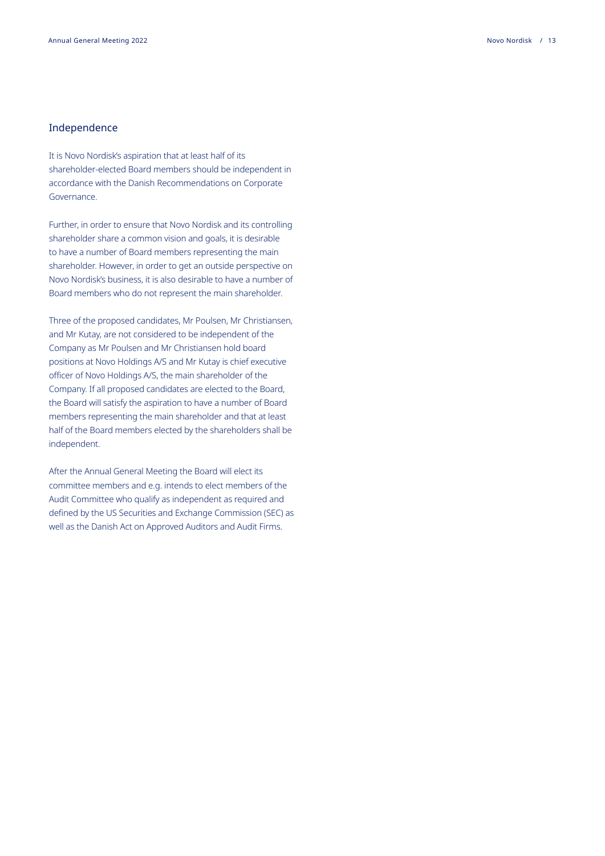#### Independence

It is Novo Nordisk's aspiration that at least half of its shareholder-elected Board members should be independent in accordance with the Danish Recommendations on Corporate Governance.

Further, in order to ensure that Novo Nordisk and its controlling shareholder share a common vision and goals, it is desirable to have a number of Board members representing the main shareholder. However, in order to get an outside perspective on Novo Nordisk's business, it is also desirable to have a number of Board members who do not represent the main shareholder.

Three of the proposed candidates, Mr Poulsen, Mr Christiansen, and Mr Kutay, are not considered to be independent of the Company as Mr Poulsen and Mr Christiansen hold board positions at Novo Holdings A/S and Mr Kutay is chief executive officer of Novo Holdings A/S, the main shareholder of the Company. If all proposed candidates are elected to the Board, the Board will satisfy the aspiration to have a number of Board members representing the main shareholder and that at least half of the Board members elected by the shareholders shall be independent.

After the Annual General Meeting the Board will elect its committee members and e.g. intends to elect members of the Audit Committee who qualify as independent as required and defined by the US Securities and Exchange Commission (SEC) as well as the Danish Act on Approved Auditors and Audit Firms.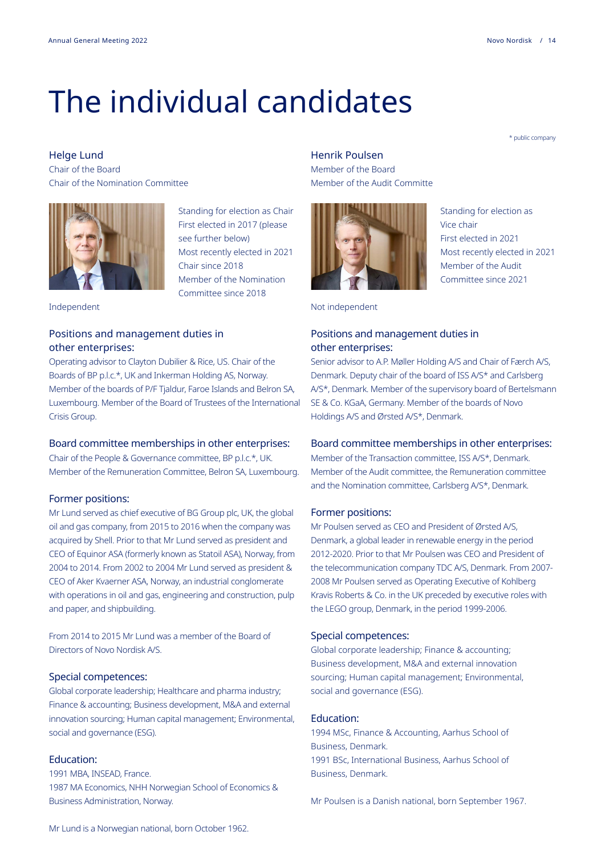### The individual candidates

\* public company

Standing for election as

Most recently elected in 2021

First elected in 2021

Member of the Audit Committee since 2021

Vice chair

Helge Lund Chair of the Board Chair of the Nomination Committee



Standing for election as Chair First elected in 2017 (please see further below) Most recently elected in 2021 Chair since 2018 Member of the Nomination Committee since 2018

Independent

#### Positions and management duties in other enterprises:

Operating advisor to Clayton Dubilier & Rice, US. Chair of the Boards of BP p.l.c.\*, UK and Inkerman Holding AS, Norway. Member of the boards of P/F Tjaldur, Faroe Islands and Belron SA, Luxembourg. Member of the Board of Trustees of the International Crisis Group.

#### Board committee memberships in other enterprises:

Chair of the People & Governance committee, BP p.l.c.\*, UK. Member of the Remuneration Committee, Belron SA, Luxembourg.

#### Former positions:

Mr Lund served as chief executive of BG Group plc, UK, the global oil and gas company, from 2015 to 2016 when the company was acquired by Shell. Prior to that Mr Lund served as president and CEO of Equinor ASA (formerly known as Statoil ASA), Norway, from 2004 to 2014. From 2002 to 2004 Mr Lund served as president & CEO of Aker Kvaerner ASA, Norway, an industrial conglomerate with operations in oil and gas, engineering and construction, pulp and paper, and shipbuilding.

From 2014 to 2015 Mr Lund was a member of the Board of Directors of Novo Nordisk A/S.

#### Special competences:

Global corporate leadership; Healthcare and pharma industry; Finance & accounting; Business development, M&A and external innovation sourcing; Human capital management; Environmental, social and governance (ESG).

#### Education:

1991 MBA, INSEAD, France. 1987 MA Economics, NHH Norwegian School of Economics & Business Administration, Norway.

#### Henrik Poulsen

Member of the Board Member of the Audit Committe



Not independent

#### Positions and management duties in other enterprises:

Senior advisor to A.P. Møller Holding A/S and Chair of Færch A/S, Denmark. Deputy chair of the board of ISS A/S\* and Carlsberg A/S\*, Denmark. Member of the supervisory board of Bertelsmann SE & Co. KGaA, Germany. Member of the boards of Novo Holdings A/S and Ørsted A/S\*, Denmark.

#### Board committee memberships in other enterprises:

Member of the Transaction committee, ISS A/S\*, Denmark. Member of the Audit committee, the Remuneration committee and the Nomination committee, Carlsberg A/S\*, Denmark.

#### Former positions:

Mr Poulsen served as CEO and President of Ørsted A/S, Denmark, a global leader in renewable energy in the period 2012-2020. Prior to that Mr Poulsen was CEO and President of the telecommunication company TDC A/S, Denmark. From 2007- 2008 Mr Poulsen served as Operating Executive of Kohlberg Kravis Roberts & Co. in the UK preceded by executive roles with the LEGO group, Denmark, in the period 1999-2006.

#### Special competences:

Global corporate leadership; Finance & accounting; Business development, M&A and external innovation sourcing; Human capital management; Environmental, social and governance (ESG).

#### Education:

1994 MSc, Finance & Accounting, Aarhus School of Business, Denmark. 1991 BSc, International Business, Aarhus School of Business, Denmark.

Mr Poulsen is a Danish national, born September 1967.

Mr Lund is a Norwegian national, born October 1962.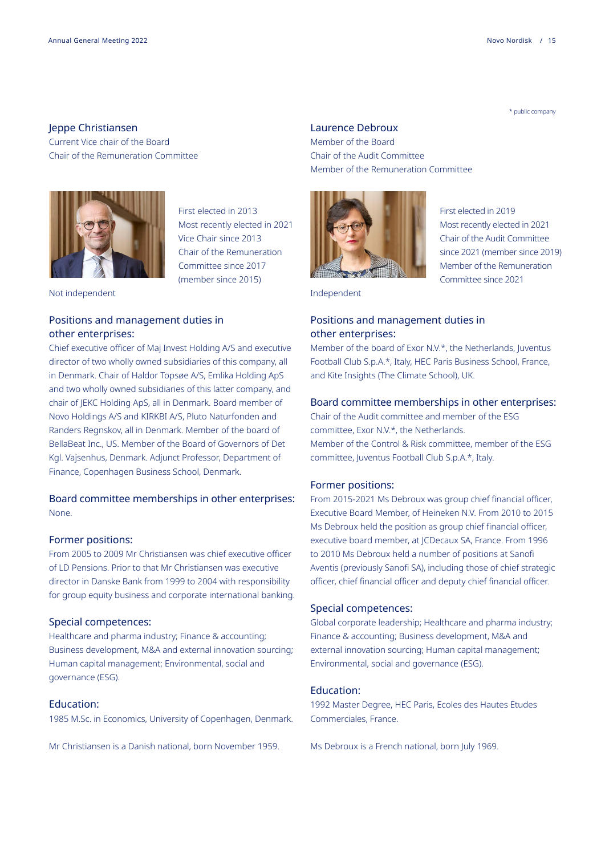#### Jeppe Christiansen

Current Vice chair of the Board Chair of the Remuneration Committee



First elected in 2013 Most recently elected in 2021 Vice Chair since 2013 Chair of the Remuneration Committee since 2017 (member since 2015)

Not independent

#### Positions and management duties in other enterprises:

Chief executive officer of Maj Invest Holding A/S and executive director of two wholly owned subsidiaries of this company, all in Denmark. Chair of Haldor Topsøe A/S, Emlika Holding ApS and two wholly owned subsidiaries of this latter company, and chair of JEKC Holding ApS, all in Denmark. Board member of Novo Holdings A/S and KIRKBI A/S, Pluto Naturfonden and Randers Regnskov, all in Denmark. Member of the board of BellaBeat Inc., US. Member of the Board of Governors of Det Kgl. Vajsenhus, Denmark. Adjunct Professor, Department of Finance, Copenhagen Business School, Denmark.

#### Board committee memberships in other enterprises: None.

#### Former positions:

From 2005 to 2009 Mr Christiansen was chief executive officer of LD Pensions. Prior to that Mr Christiansen was executive director in Danske Bank from 1999 to 2004 with responsibility for group equity business and corporate international banking.

#### Special competences:

Healthcare and pharma industry; Finance & accounting; Business development, M&A and external innovation sourcing; Human capital management; Environmental, social and governance (ESG).

#### Education:

1985 M.Sc. in Economics, University of Copenhagen, Denmark.

Mr Christiansen is a Danish national, born November 1959.

#### Laurence Debroux

Member of the Board Chair of the Audit Committee Member of the Remuneration Committee



First elected in 2019 Most recently elected in 2021 Chair of the Audit Committee since 2021 (member since 2019) Member of the Remuneration Committee since 2021

Independent

#### Positions and management duties in other enterprises:

Member of the board of Exor N.V.\*, the Netherlands, Juventus Football Club S.p.A.\*, Italy, HEC Paris Business School, France, and Kite Insights (The Climate School), UK.

#### Board committee memberships in other enterprises:

Chair of the Audit committee and member of the ESG committee, Exor N.V.\*, the Netherlands. Member of the Control & Risk committee, member of the ESG committee, Juventus Football Club S.p.A.\*, Italy.

#### Former positions:

From 2015-2021 Ms Debroux was group chief financial officer, Executive Board Member, of Heineken N.V. From 2010 to 2015 Ms Debroux held the position as group chief financial officer, executive board member, at JCDecaux SA, France. From 1996 to 2010 Ms Debroux held a number of positions at Sanofi Aventis (previously Sanofi SA), including those of chief strategic officer, chief financial officer and deputy chief financial officer.

#### Special competences:

Global corporate leadership; Healthcare and pharma industry; Finance & accounting; Business development, M&A and external innovation sourcing; Human capital management; Environmental, social and governance (ESG).

#### Education:

1992 Master Degree, HEC Paris, Ecoles des Hautes Etudes Commerciales, France.

Ms Debroux is a French national, born July 1969.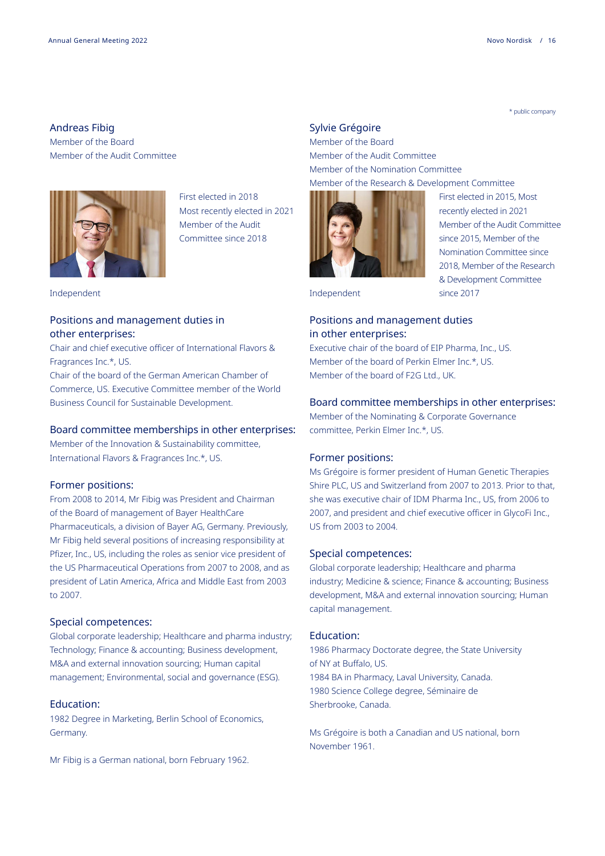#### Andreas Fibig Member of the Board Member of the Audit Committee



First elected in 2018 Most recently elected in 2021 Member of the Audit Committee since 2018

Independent

#### Positions and management duties in other enterprises:

Chair and chief executive officer of International Flavors & Fragrances Inc.\*, US.

Chair of the board of the German American Chamber of Commerce, US. Executive Committee member of the World Business Council for Sustainable Development.

#### Board committee memberships in other enterprises:

Member of the Innovation & Sustainability committee, International Flavors & Fragrances Inc.\*, US.

#### Former positions:

From 2008 to 2014, Mr Fibig was President and Chairman of the Board of management of Bayer HealthCare Pharmaceuticals, a division of Bayer AG, Germany. Previously, Mr Fibig held several positions of increasing responsibility at Pfizer, Inc., US, including the roles as senior vice president of the US Pharmaceutical Operations from 2007 to 2008, and as president of Latin America, Africa and Middle East from 2003 to 2007.

#### Special competences:

Global corporate leadership; Healthcare and pharma industry; Technology; Finance & accounting; Business development, M&A and external innovation sourcing; Human capital management; Environmental, social and governance (ESG).

#### Education:

1982 Degree in Marketing, Berlin School of Economics, Germany.

Mr Fibig is a German national, born February 1962.

#### Sylvie Grégoire

Member of the Board Member of the Audit Committee Member of the Nomination Committee Member of the Research & Development Committee



First elected in 2015, Most recently elected in 2021 Member of the Audit Committee since 2015, Member of the Nomination Committee since 2018, Member of the Research & Development Committee

Independent since 2017

#### Positions and management duties in other enterprises:

Executive chair of the board of EIP Pharma, Inc., US. Member of the board of Perkin Elmer Inc.\*, US. Member of the board of F2G Ltd., UK.

#### Board committee memberships in other enterprises:

Member of the Nominating & Corporate Governance committee, Perkin Elmer Inc.\*, US.

#### Former positions:

Ms Grégoire is former president of Human Genetic Therapies Shire PLC, US and Switzerland from 2007 to 2013. Prior to that, she was executive chair of IDM Pharma Inc., US, from 2006 to 2007, and president and chief executive officer in GlycoFi Inc., US from 2003 to 2004.

#### Special competences:

Global corporate leadership; Healthcare and pharma industry; Medicine & science; Finance & accounting; Business development, M&A and external innovation sourcing; Human capital management.

#### Education:

1986 Pharmacy Doctorate degree, the State University of NY at Buffalo, US. 1984 BA in Pharmacy, Laval University, Canada. 1980 Science College degree, Séminaire de Sherbrooke, Canada.

Ms Grégoire is both a Canadian and US national, born November 1961.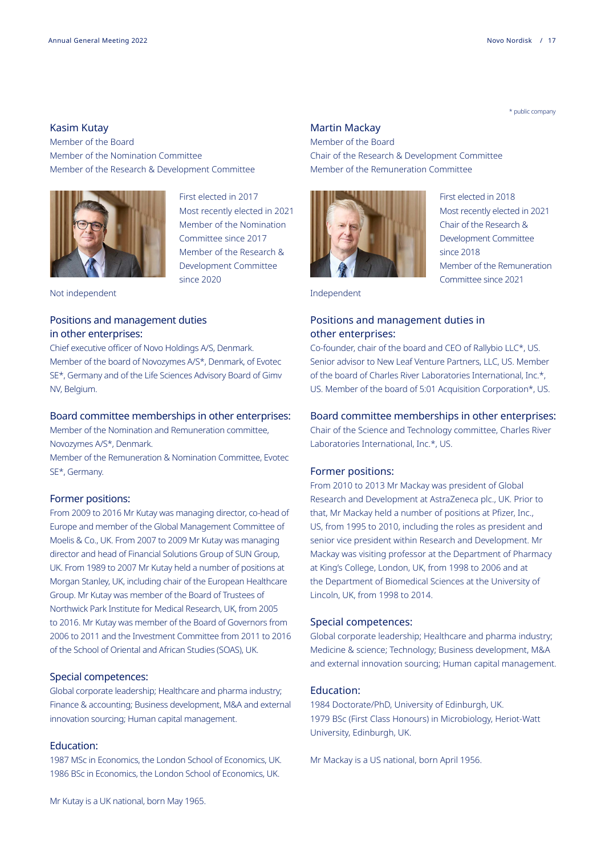#### Kasim Kutay

Member of the Board Member of the Nomination Committee Member of the Research & Development Committee



First elected in 2017 Most recently elected in 2021 Member of the Nomination Committee since 2017 Member of the Research & Development Committee since 2020

Not independent

#### Positions and management duties in other enterprises:

Chief executive officer of Novo Holdings A/S, Denmark. Member of the board of Novozymes A/S\*, Denmark, of Evotec SE\*, Germany and of the Life Sciences Advisory Board of Gimv NV, Belgium.

#### Board committee memberships in other enterprises:

Member of the Nomination and Remuneration committee, Novozymes A/S\*, Denmark.

Member of the Remuneration & Nomination Committee, Evotec SE\*, Germany.

#### Former positions:

From 2009 to 2016 Mr Kutay was managing director, co-head of Europe and member of the Global Management Committee of Moelis & Co., UK. From 2007 to 2009 Mr Kutay was managing director and head of Financial Solutions Group of SUN Group, UK. From 1989 to 2007 Mr Kutay held a number of positions at Morgan Stanley, UK, including chair of the European Healthcare Group. Mr Kutay was member of the Board of Trustees of Northwick Park Institute for Medical Research, UK, from 2005 to 2016. Mr Kutay was member of the Board of Governors from 2006 to 2011 and the Investment Committee from 2011 to 2016 of the School of Oriental and African Studies (SOAS), UK.

#### Special competences:

Global corporate leadership; Healthcare and pharma industry; Finance & accounting; Business development, M&A and external innovation sourcing; Human capital management.

#### Education:

1987 MSc in Economics, the London School of Economics, UK. 1986 BSc in Economics, the London School of Economics, UK.

#### Martin Mackay

Member of the Board Chair of the Research & Development Committee Member of the Remuneration Committee



First elected in 2018 Most recently elected in 2021 Chair of the Research & Development Committee since 2018 Member of the Remuneration Committee since 2021

Independent

#### Positions and management duties in other enterprises:

Co-founder, chair of the board and CEO of Rallybio LLC\*, US. Senior advisor to New Leaf Venture Partners, LLC, US. Member of the board of Charles River Laboratories International, Inc.\*, US. Member of the board of 5:01 Acquisition Corporation\*, US.

#### Board committee memberships in other enterprises:

Chair of the Science and Technology committee, Charles River Laboratories International, Inc.\*, US.

#### Former positions:

From 2010 to 2013 Mr Mackay was president of Global Research and Development at AstraZeneca plc., UK. Prior to that, Mr Mackay held a number of positions at Pfizer, Inc., US, from 1995 to 2010, including the roles as president and senior vice president within Research and Development. Mr Mackay was visiting professor at the Department of Pharmacy at King's College, London, UK, from 1998 to 2006 and at the Department of Biomedical Sciences at the University of Lincoln, UK, from 1998 to 2014.

#### Special competences:

Global corporate leadership; Healthcare and pharma industry; Medicine & science; Technology; Business development, M&A and external innovation sourcing; Human capital management.

#### Education:

1984 Doctorate/PhD, University of Edinburgh, UK. 1979 BSc (First Class Honours) in Microbiology, Heriot-Watt University, Edinburgh, UK.

Mr Mackay is a US national, born April 1956.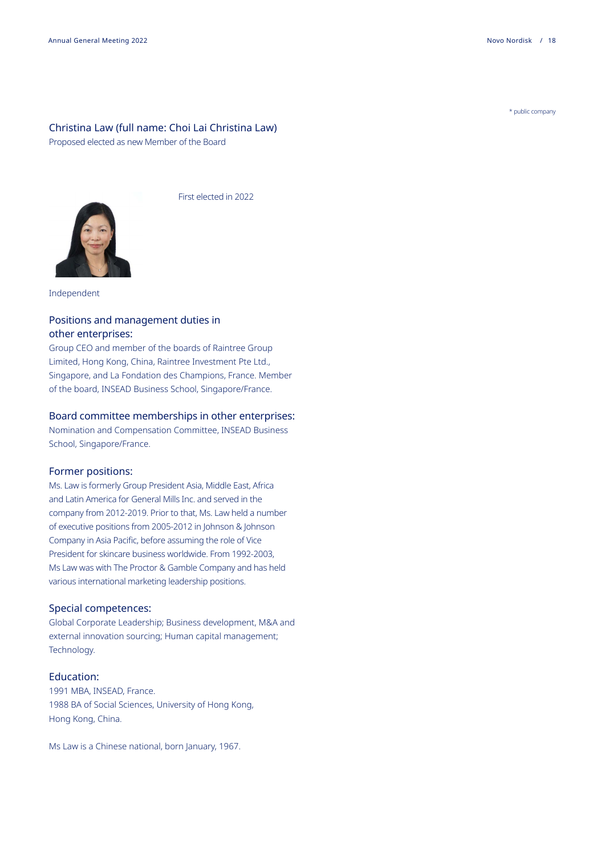#### Christina Law (full name: Choi Lai Christina Law)

Proposed elected as new Member of the Board



First elected in 2022

#### Independent

#### Positions and management duties in other enterprises:

Group CEO and member of the boards of Raintree Group Limited, Hong Kong, China, Raintree Investment Pte Ltd., Singapore, and La Fondation des Champions, France. Member of the board, INSEAD Business School, Singapore/France.

#### Board committee memberships in other enterprises:

Nomination and Compensation Committee, INSEAD Business School, Singapore/France.

#### Former positions:

Ms. Law is formerly Group President Asia, Middle East, Africa and Latin America for General Mills Inc. and served in the company from 2012-2019. Prior to that, Ms. Law held a number of executive positions from 2005-2012 in Johnson & Johnson Company in Asia Pacific, before assuming the role of Vice President for skincare business worldwide. From 1992-2003, Ms Law was with The Proctor & Gamble Company and has held various international marketing leadership positions.

#### Special competences:

Global Corporate Leadership; Business development, M&A and external innovation sourcing; Human capital management; Technology.

#### Education:

1991 MBA, INSEAD, France. 1988 BA of Social Sciences, University of Hong Kong, Hong Kong, China.

Ms Law is a Chinese national, born January, 1967.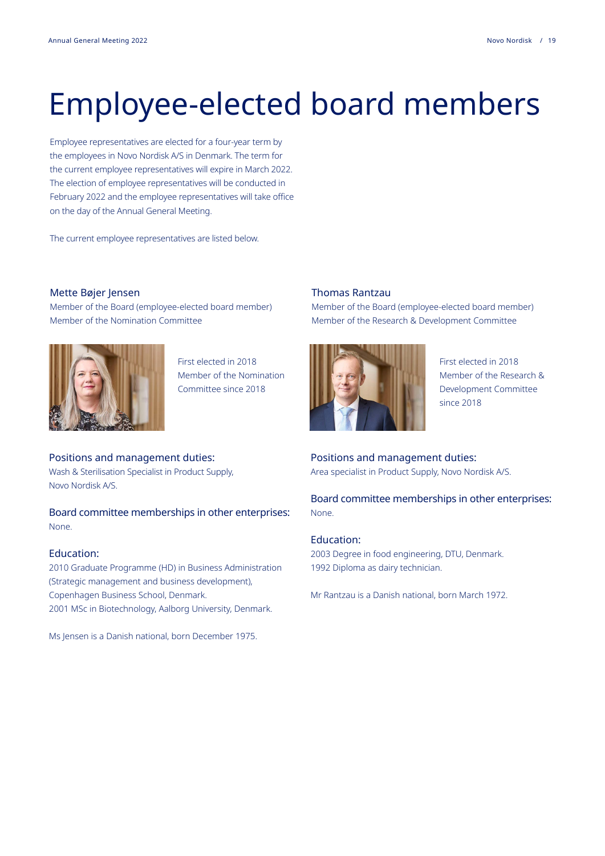## Employee-elected board members

Employee representatives are elected for a four-year term by the employees in Novo Nordisk A/S in Denmark. The term for the current employee representatives will expire in March 2022. The election of employee representatives will be conducted in February 2022 and the employee representatives will take office on the day of the Annual General Meeting.

The current employee representatives are listed below.

#### Mette Bøjer Jensen

Member of the Board (employee-elected board member) Member of the Nomination Committee



First elected in 2018 Member of the Nomination Committee since 2018

Positions and management duties: Wash & Sterilisation Specialist in Product Supply, Novo Nordisk A/S.

Board committee memberships in other enterprises: None.

#### Education:

2010 Graduate Programme (HD) in Business Administration (Strategic management and business development), Copenhagen Business School, Denmark. 2001 MSc in Biotechnology, Aalborg University, Denmark.

Ms Jensen is a Danish national, born December 1975.

#### Thomas Rantzau

Member of the Board (employee-elected board member) Member of the Research & Development Committee



First elected in 2018 Member of the Research & Development Committee since 2018

Positions and management duties: Area specialist in Product Supply, Novo Nordisk A/S.

Board committee memberships in other enterprises: None.

#### Education:

2003 Degree in food engineering, DTU, Denmark. 1992 Diploma as dairy technician.

Mr Rantzau is a Danish national, born March 1972.